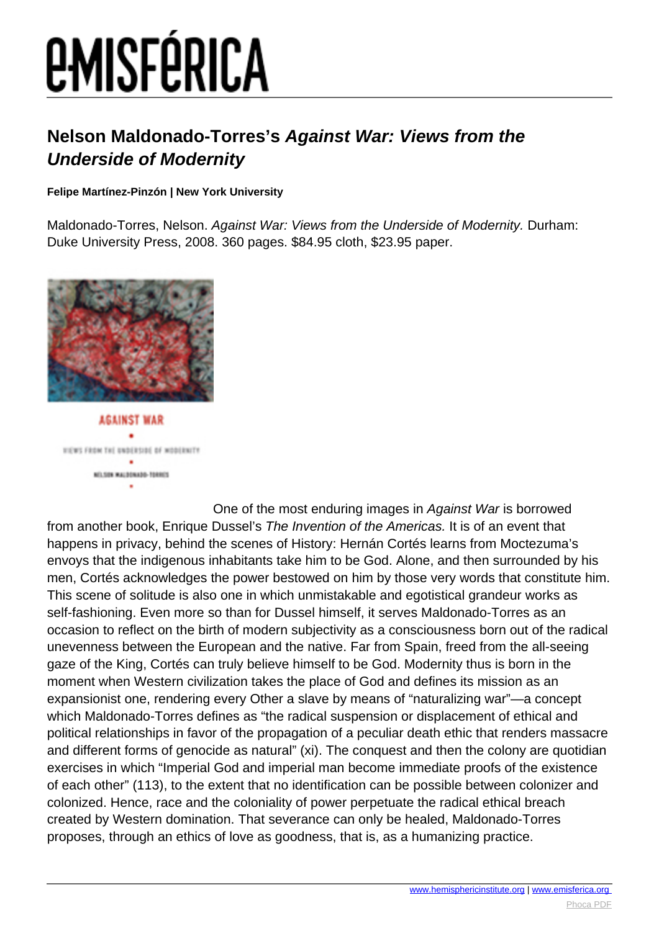# *EMISFÉRICA*

### **Nelson Maldonado-Torres's Against War: Views from the Underside of Modernity**

#### **Felipe Martínez-Pinzón | New York University**

Maldonado-Torres, Nelson. Against War: Views from the Underside of Modernity. Durham: Duke University Press, 2008. 360 pages. \$84.95 cloth, \$23.95 paper.



**AGAINST WAR** VIEWS FROM THE UNDERSIDE OF MODERNITY NO.509 MALDONADO-TORROS  $\bullet$ 

One of the most enduring images in Against War is borrowed from another book. Enrique Dussel's The Invention of the Americas. It is of an event that happens in privacy, behind the scenes of History: Hernán Cortés learns from Moctezuma's envoys that the indigenous inhabitants take him to be God. Alone, and then surrounded by his men, Cortés acknowledges the power bestowed on him by those very words that constitute him. This scene of solitude is also one in which unmistakable and egotistical grandeur works as self-fashioning. Even more so than for Dussel himself, it serves Maldonado-Torres as an occasion to reflect on the birth of modern subjectivity as a consciousness born out of the radical unevenness between the European and the native. Far from Spain, freed from the all-seeing gaze of the King, Cortés can truly believe himself to be God. Modernity thus is born in the moment when Western civilization takes the place of God and defines its mission as an expansionist one, rendering every Other a slave by means of "naturalizing war"—a concept which Maldonado-Torres defines as "the radical suspension or displacement of ethical and political relationships in favor of the propagation of a peculiar death ethic that renders massacre and different forms of genocide as natural" (xi). The conquest and then the colony are quotidian exercises in which "Imperial God and imperial man become immediate proofs of the existence of each other" (113), to the extent that no identification can be possible between colonizer and colonized. Hence, race and the coloniality of power perpetuate the radical ethical breach created by Western domination. That severance can only be healed, Maldonado-Torres proposes, through an ethics of love as goodness, that is, as a humanizing practice.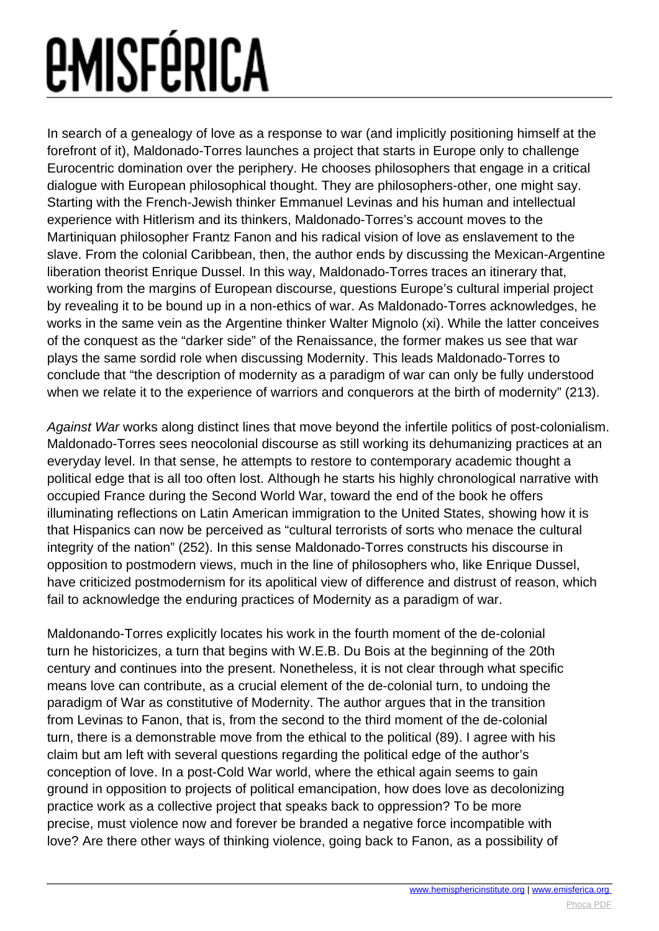# *<u>EMISFÉRICA</u>*

In search of a genealogy of love as a response to war (and implicitly positioning himself at the forefront of it), Maldonado-Torres launches a project that starts in Europe only to challenge Eurocentric domination over the periphery. He chooses philosophers that engage in a critical dialogue with European philosophical thought. They are philosophers-other, one might say. Starting with the French-Jewish thinker Emmanuel Levinas and his human and intellectual experience with Hitlerism and its thinkers, Maldonado-Torres's account moves to the Martiniquan philosopher Frantz Fanon and his radical vision of love as enslavement to the slave. From the colonial Caribbean, then, the author ends by discussing the Mexican-Argentine liberation theorist Enrique Dussel. In this way, Maldonado-Torres traces an itinerary that, working from the margins of European discourse, questions Europe's cultural imperial project by revealing it to be bound up in a non-ethics of war. As Maldonado-Torres acknowledges, he works in the same vein as the Argentine thinker Walter Mignolo (xi). While the latter conceives of the conquest as the "darker side" of the Renaissance, the former makes us see that war plays the same sordid role when discussing Modernity. This leads Maldonado-Torres to conclude that "the description of modernity as a paradigm of war can only be fully understood when we relate it to the experience of warriors and conquerors at the birth of modernity" (213).

Against War works along distinct lines that move beyond the infertile politics of post-colonialism. Maldonado-Torres sees neocolonial discourse as still working its dehumanizing practices at an everyday level. In that sense, he attempts to restore to contemporary academic thought a political edge that is all too often lost. Although he starts his highly chronological narrative with occupied France during the Second World War, toward the end of the book he offers illuminating reflections on Latin American immigration to the United States, showing how it is that Hispanics can now be perceived as "cultural terrorists of sorts who menace the cultural integrity of the nation" (252). In this sense Maldonado-Torres constructs his discourse in opposition to postmodern views, much in the line of philosophers who, like Enrique Dussel, have criticized postmodernism for its apolitical view of difference and distrust of reason, which fail to acknowledge the enduring practices of Modernity as a paradigm of war.

Maldonando-Torres explicitly locates his work in the fourth moment of the de-colonial turn he historicizes, a turn that begins with W.E.B. Du Bois at the beginning of the 20th century and continues into the present. Nonetheless, it is not clear through what specific means love can contribute, as a crucial element of the de-colonial turn, to undoing the paradigm of War as constitutive of Modernity. The author argues that in the transition from Levinas to Fanon, that is, from the second to the third moment of the de-colonial turn, there is a demonstrable move from the ethical to the political (89). I agree with his claim but am left with several questions regarding the political edge of the author's conception of love. In a post-Cold War world, where the ethical again seems to gain ground in opposition to projects of political emancipation, how does love as decolonizing practice work as a collective project that speaks back to oppression? To be more precise, must violence now and forever be branded a negative force incompatible with love? Are there other ways of thinking violence, going back to Fanon, as a possibility of